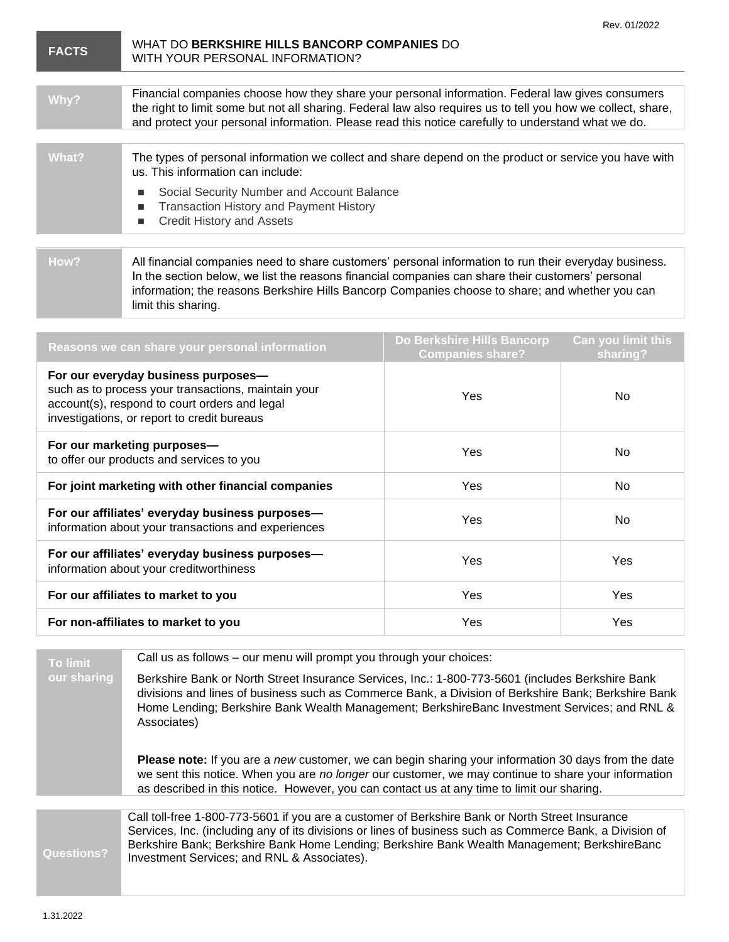| ACTS |
|------|
|------|

## **FACTS** WHAT DO **BERKSHIRE HILLS BANCORP COMPANIES** DO WITH YOUR PERSONAL INFORMATION?

| Why?  | Financial companies choose how they share your personal information. Federal law gives consumers<br>the right to limit some but not all sharing. Federal law also requires us to tell you how we collect, share,<br>and protect your personal information. Please read this notice carefully to understand what we do. |
|-------|------------------------------------------------------------------------------------------------------------------------------------------------------------------------------------------------------------------------------------------------------------------------------------------------------------------------|
|       |                                                                                                                                                                                                                                                                                                                        |
| What? | The types of personal information we collect and share depend on the product or service you have with<br>us. This information can include:                                                                                                                                                                             |
|       | Social Security Number and Account Balance<br><b>Transaction History and Payment History</b><br><b>Credit History and Assets</b>                                                                                                                                                                                       |
|       |                                                                                                                                                                                                                                                                                                                        |
|       |                                                                                                                                                                                                                                                                                                                        |
|       |                                                                                                                                                                                                                                                                                                                        |

**How?** All financial companies need to share customers' personal information to run their everyday business. In the section below, we list the reasons financial companies can share their customers' personal information; the reasons Berkshire Hills Bancorp Companies choose to share; and whether you can limit this sharing.

| Reasons we can share your personal information                                                                                                                                             | Do Berkshire Hills Bancorp<br><b>Companies share?</b> | <b>Can you limit this</b><br>sharing? |
|--------------------------------------------------------------------------------------------------------------------------------------------------------------------------------------------|-------------------------------------------------------|---------------------------------------|
| For our everyday business purposes-<br>such as to process your transactions, maintain your<br>account(s), respond to court orders and legal<br>investigations, or report to credit bureaus | Yes                                                   | No.                                   |
| For our marketing purposes-<br>to offer our products and services to you                                                                                                                   | <b>Yes</b>                                            | No.                                   |
| For joint marketing with other financial companies                                                                                                                                         | Yes                                                   | <b>No</b>                             |
| For our affiliates' everyday business purposes-<br>information about your transactions and experiences                                                                                     | Yes                                                   | No.                                   |
| For our affiliates' everyday business purposes-<br>information about your creditworthiness                                                                                                 | Yes                                                   | Yes                                   |
| For our affiliates to market to you                                                                                                                                                        | Yes                                                   | Yes                                   |
| For non-affiliates to market to you                                                                                                                                                        | Yes                                                   | Yes                                   |

**To limit our sharing** Call us as follows – our menu will prompt you through your choices:

Berkshire Bank or North Street Insurance Services, Inc.: 1-800-773-5601 (includes Berkshire Bank divisions and lines of business such as Commerce Bank, a Division of Berkshire Bank; Berkshire Bank Home Lending; Berkshire Bank Wealth Management; BerkshireBanc Investment Services; and RNL & Associates)

**Please note:** If you are a *new* customer, we can begin sharing your information 30 days from the date we sent this notice. When you are *no longer* our customer, we may continue to share your information as described in this notice. However, you can contact us at any time to limit our sharing.

**Questions?** Call toll-free 1-800-773-5601 if you are a customer of Berkshire Bank or North Street Insurance Services, Inc. (including any of its divisions or lines of business such as Commerce Bank, a Division of Berkshire Bank; Berkshire Bank Home Lending; Berkshire Bank Wealth Management; BerkshireBanc Investment Services; and RNL & Associates).